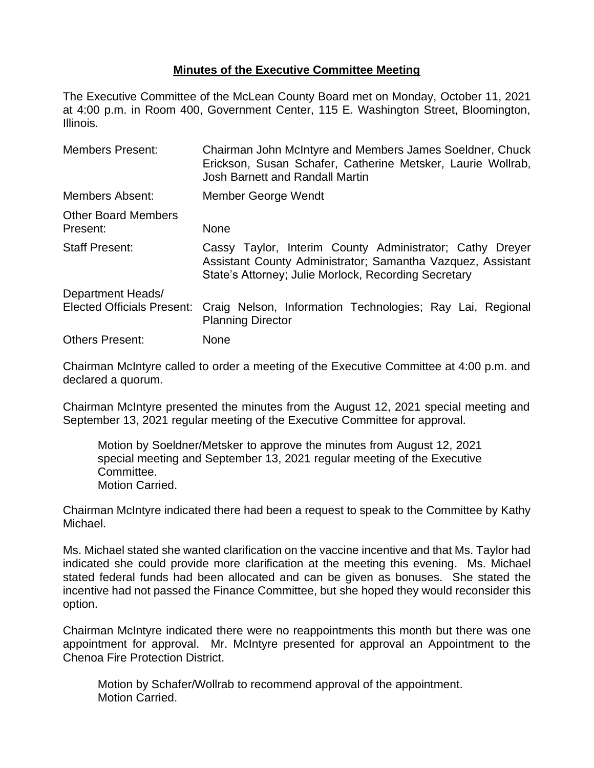## **Minutes of the Executive Committee Meeting**

The Executive Committee of the McLean County Board met on Monday, October 11, 2021 at 4:00 p.m. in Room 400, Government Center, 115 E. Washington Street, Bloomington, Illinois.

| <b>Members Present:</b>                | Chairman John McIntyre and Members James Soeldner, Chuck<br>Erickson, Susan Schafer, Catherine Metsker, Laurie Wollrab,<br>Josh Barnett and Randall Martin                      |
|----------------------------------------|---------------------------------------------------------------------------------------------------------------------------------------------------------------------------------|
| Members Absent:                        | Member George Wendt                                                                                                                                                             |
| <b>Other Board Members</b><br>Present: | <b>None</b>                                                                                                                                                                     |
| <b>Staff Present:</b>                  | Cassy Taylor, Interim County Administrator; Cathy Dreyer<br>Assistant County Administrator; Samantha Vazquez, Assistant<br>State's Attorney; Julie Morlock, Recording Secretary |
| Department Heads/                      |                                                                                                                                                                                 |
| <b>Elected Officials Present:</b>      | Craig Nelson, Information Technologies; Ray Lai, Regional<br><b>Planning Director</b>                                                                                           |
| <b>Others Present:</b>                 | None                                                                                                                                                                            |

Chairman McIntyre called to order a meeting of the Executive Committee at 4:00 p.m. and declared a quorum.

Chairman McIntyre presented the minutes from the August 12, 2021 special meeting and September 13, 2021 regular meeting of the Executive Committee for approval.

Motion by Soeldner/Metsker to approve the minutes from August 12, 2021 special meeting and September 13, 2021 regular meeting of the Executive Committee. Motion Carried.

Chairman McIntyre indicated there had been a request to speak to the Committee by Kathy Michael.

Ms. Michael stated she wanted clarification on the vaccine incentive and that Ms. Taylor had indicated she could provide more clarification at the meeting this evening. Ms. Michael stated federal funds had been allocated and can be given as bonuses. She stated the incentive had not passed the Finance Committee, but she hoped they would reconsider this option.

Chairman McIntyre indicated there were no reappointments this month but there was one appointment for approval. Mr. McIntyre presented for approval an Appointment to the Chenoa Fire Protection District.

Motion by Schafer/Wollrab to recommend approval of the appointment. Motion Carried.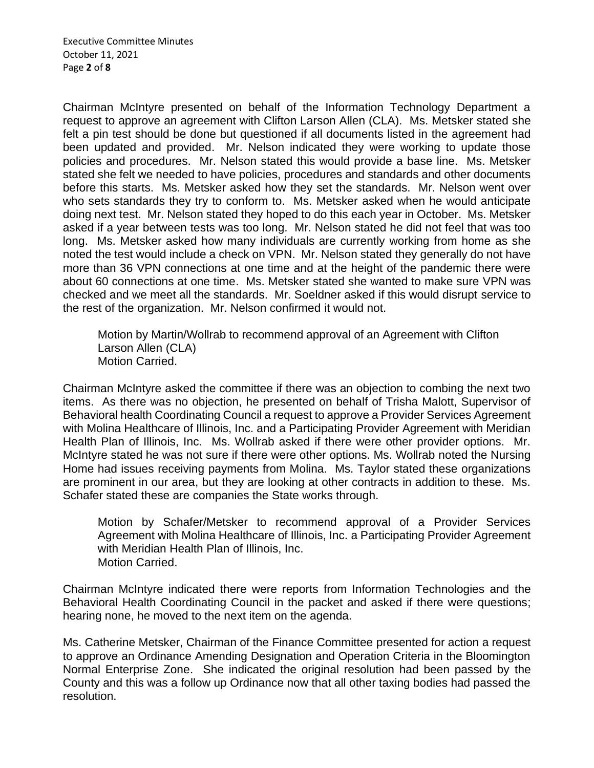Executive Committee Minutes October 11, 2021 Page **2** of **8**

Chairman McIntyre presented on behalf of the Information Technology Department a request to approve an agreement with Clifton Larson Allen (CLA). Ms. Metsker stated she felt a pin test should be done but questioned if all documents listed in the agreement had been updated and provided. Mr. Nelson indicated they were working to update those policies and procedures. Mr. Nelson stated this would provide a base line. Ms. Metsker stated she felt we needed to have policies, procedures and standards and other documents before this starts. Ms. Metsker asked how they set the standards. Mr. Nelson went over who sets standards they try to conform to. Ms. Metsker asked when he would anticipate doing next test. Mr. Nelson stated they hoped to do this each year in October. Ms. Metsker asked if a year between tests was too long. Mr. Nelson stated he did not feel that was too long. Ms. Metsker asked how many individuals are currently working from home as she noted the test would include a check on VPN. Mr. Nelson stated they generally do not have more than 36 VPN connections at one time and at the height of the pandemic there were about 60 connections at one time. Ms. Metsker stated she wanted to make sure VPN was checked and we meet all the standards. Mr. Soeldner asked if this would disrupt service to the rest of the organization. Mr. Nelson confirmed it would not.

Motion by Martin/Wollrab to recommend approval of an Agreement with Clifton Larson Allen (CLA) Motion Carried.

Chairman McIntyre asked the committee if there was an objection to combing the next two items. As there was no objection, he presented on behalf of Trisha Malott, Supervisor of Behavioral health Coordinating Council a request to approve a Provider Services Agreement with Molina Healthcare of Illinois, Inc. and a Participating Provider Agreement with Meridian Health Plan of Illinois, Inc. Ms. Wollrab asked if there were other provider options. Mr. McIntyre stated he was not sure if there were other options. Ms. Wollrab noted the Nursing Home had issues receiving payments from Molina. Ms. Taylor stated these organizations are prominent in our area, but they are looking at other contracts in addition to these. Ms. Schafer stated these are companies the State works through.

Motion by Schafer/Metsker to recommend approval of a Provider Services Agreement with Molina Healthcare of Illinois, Inc. a Participating Provider Agreement with Meridian Health Plan of Illinois, Inc. Motion Carried.

Chairman McIntyre indicated there were reports from Information Technologies and the Behavioral Health Coordinating Council in the packet and asked if there were questions; hearing none, he moved to the next item on the agenda.

Ms. Catherine Metsker, Chairman of the Finance Committee presented for action a request to approve an Ordinance Amending Designation and Operation Criteria in the Bloomington Normal Enterprise Zone. She indicated the original resolution had been passed by the County and this was a follow up Ordinance now that all other taxing bodies had passed the resolution.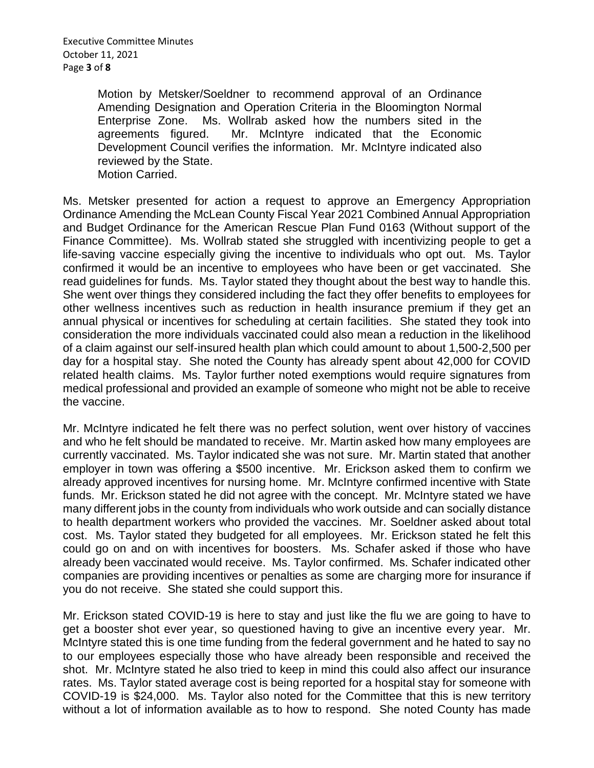Executive Committee Minutes October 11, 2021 Page **3** of **8**

> Motion by Metsker/Soeldner to recommend approval of an Ordinance Amending Designation and Operation Criteria in the Bloomington Normal Enterprise Zone. Ms. Wollrab asked how the numbers sited in the agreements figured. Mr. McIntyre indicated that the Economic Development Council verifies the information. Mr. McIntyre indicated also reviewed by the State. Motion Carried.

Ms. Metsker presented for action a request to approve an Emergency Appropriation Ordinance Amending the McLean County Fiscal Year 2021 Combined Annual Appropriation and Budget Ordinance for the American Rescue Plan Fund 0163 (Without support of the Finance Committee). Ms. Wollrab stated she struggled with incentivizing people to get a life-saving vaccine especially giving the incentive to individuals who opt out. Ms. Taylor confirmed it would be an incentive to employees who have been or get vaccinated. She read guidelines for funds. Ms. Taylor stated they thought about the best way to handle this. She went over things they considered including the fact they offer benefits to employees for other wellness incentives such as reduction in health insurance premium if they get an annual physical or incentives for scheduling at certain facilities. She stated they took into consideration the more individuals vaccinated could also mean a reduction in the likelihood of a claim against our self-insured health plan which could amount to about 1,500-2,500 per day for a hospital stay. She noted the County has already spent about 42,000 for COVID related health claims. Ms. Taylor further noted exemptions would require signatures from medical professional and provided an example of someone who might not be able to receive the vaccine.

Mr. McIntyre indicated he felt there was no perfect solution, went over history of vaccines and who he felt should be mandated to receive. Mr. Martin asked how many employees are currently vaccinated. Ms. Taylor indicated she was not sure. Mr. Martin stated that another employer in town was offering a \$500 incentive. Mr. Erickson asked them to confirm we already approved incentives for nursing home. Mr. McIntyre confirmed incentive with State funds. Mr. Erickson stated he did not agree with the concept. Mr. McIntyre stated we have many different jobs in the county from individuals who work outside and can socially distance to health department workers who provided the vaccines. Mr. Soeldner asked about total cost. Ms. Taylor stated they budgeted for all employees. Mr. Erickson stated he felt this could go on and on with incentives for boosters. Ms. Schafer asked if those who have already been vaccinated would receive. Ms. Taylor confirmed. Ms. Schafer indicated other companies are providing incentives or penalties as some are charging more for insurance if you do not receive. She stated she could support this.

Mr. Erickson stated COVID-19 is here to stay and just like the flu we are going to have to get a booster shot ever year, so questioned having to give an incentive every year. Mr. McIntyre stated this is one time funding from the federal government and he hated to say no to our employees especially those who have already been responsible and received the shot. Mr. McIntyre stated he also tried to keep in mind this could also affect our insurance rates. Ms. Taylor stated average cost is being reported for a hospital stay for someone with COVID-19 is \$24,000. Ms. Taylor also noted for the Committee that this is new territory without a lot of information available as to how to respond. She noted County has made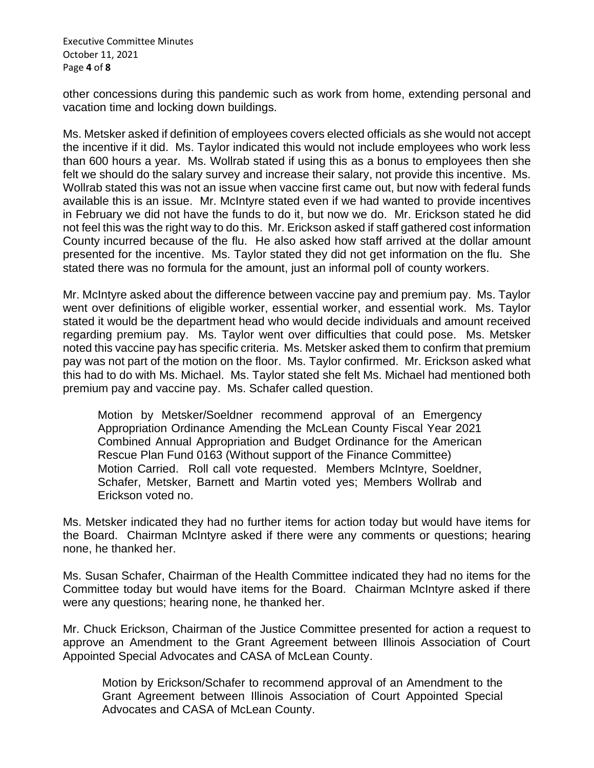Executive Committee Minutes October 11, 2021 Page **4** of **8**

other concessions during this pandemic such as work from home, extending personal and vacation time and locking down buildings.

Ms. Metsker asked if definition of employees covers elected officials as she would not accept the incentive if it did. Ms. Taylor indicated this would not include employees who work less than 600 hours a year. Ms. Wollrab stated if using this as a bonus to employees then she felt we should do the salary survey and increase their salary, not provide this incentive. Ms. Wollrab stated this was not an issue when vaccine first came out, but now with federal funds available this is an issue. Mr. McIntyre stated even if we had wanted to provide incentives in February we did not have the funds to do it, but now we do. Mr. Erickson stated he did not feel this was the right way to do this. Mr. Erickson asked if staff gathered cost information County incurred because of the flu. He also asked how staff arrived at the dollar amount presented for the incentive. Ms. Taylor stated they did not get information on the flu. She stated there was no formula for the amount, just an informal poll of county workers.

Mr. McIntyre asked about the difference between vaccine pay and premium pay. Ms. Taylor went over definitions of eligible worker, essential worker, and essential work. Ms. Taylor stated it would be the department head who would decide individuals and amount received regarding premium pay. Ms. Taylor went over difficulties that could pose. Ms. Metsker noted this vaccine pay has specific criteria. Ms. Metsker asked them to confirm that premium pay was not part of the motion on the floor. Ms. Taylor confirmed. Mr. Erickson asked what this had to do with Ms. Michael. Ms. Taylor stated she felt Ms. Michael had mentioned both premium pay and vaccine pay. Ms. Schafer called question.

Motion by Metsker/Soeldner recommend approval of an Emergency Appropriation Ordinance Amending the McLean County Fiscal Year 2021 Combined Annual Appropriation and Budget Ordinance for the American Rescue Plan Fund 0163 (Without support of the Finance Committee) Motion Carried. Roll call vote requested. Members McIntyre, Soeldner, Schafer, Metsker, Barnett and Martin voted yes; Members Wollrab and Erickson voted no.

Ms. Metsker indicated they had no further items for action today but would have items for the Board. Chairman McIntyre asked if there were any comments or questions; hearing none, he thanked her.

Ms. Susan Schafer, Chairman of the Health Committee indicated they had no items for the Committee today but would have items for the Board. Chairman McIntyre asked if there were any questions; hearing none, he thanked her.

Mr. Chuck Erickson, Chairman of the Justice Committee presented for action a request to approve an Amendment to the Grant Agreement between Illinois Association of Court Appointed Special Advocates and CASA of McLean County.

Motion by Erickson/Schafer to recommend approval of an Amendment to the Grant Agreement between Illinois Association of Court Appointed Special Advocates and CASA of McLean County.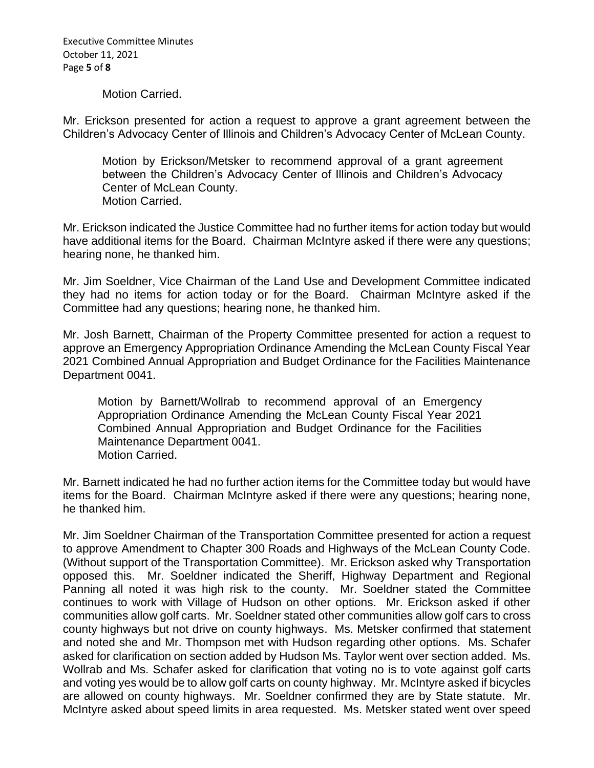Executive Committee Minutes October 11, 2021 Page **5** of **8**

Motion Carried.

Mr. Erickson presented for action a request to approve a grant agreement between the Children's Advocacy Center of Illinois and Children's Advocacy Center of McLean County.

Motion by Erickson/Metsker to recommend approval of a grant agreement between the Children's Advocacy Center of Illinois and Children's Advocacy Center of McLean County. Motion Carried.

Mr. Erickson indicated the Justice Committee had no further items for action today but would have additional items for the Board. Chairman McIntyre asked if there were any questions; hearing none, he thanked him.

Mr. Jim Soeldner, Vice Chairman of the Land Use and Development Committee indicated they had no items for action today or for the Board. Chairman McIntyre asked if the Committee had any questions; hearing none, he thanked him.

Mr. Josh Barnett, Chairman of the Property Committee presented for action a request to approve an Emergency Appropriation Ordinance Amending the McLean County Fiscal Year 2021 Combined Annual Appropriation and Budget Ordinance for the Facilities Maintenance Department 0041.

Motion by Barnett/Wollrab to recommend approval of an Emergency Appropriation Ordinance Amending the McLean County Fiscal Year 2021 Combined Annual Appropriation and Budget Ordinance for the Facilities Maintenance Department 0041. Motion Carried.

Mr. Barnett indicated he had no further action items for the Committee today but would have items for the Board. Chairman McIntyre asked if there were any questions; hearing none, he thanked him.

Mr. Jim Soeldner Chairman of the Transportation Committee presented for action a request to approve Amendment to Chapter 300 Roads and Highways of the McLean County Code. (Without support of the Transportation Committee). Mr. Erickson asked why Transportation opposed this. Mr. Soeldner indicated the Sheriff, Highway Department and Regional Panning all noted it was high risk to the county. Mr. Soeldner stated the Committee continues to work with Village of Hudson on other options. Mr. Erickson asked if other communities allow golf carts. Mr. Soeldner stated other communities allow golf cars to cross county highways but not drive on county highways. Ms. Metsker confirmed that statement and noted she and Mr. Thompson met with Hudson regarding other options. Ms. Schafer asked for clarification on section added by Hudson Ms. Taylor went over section added. Ms. Wollrab and Ms. Schafer asked for clarification that voting no is to vote against golf carts and voting yes would be to allow golf carts on county highway. Mr. McIntyre asked if bicycles are allowed on county highways. Mr. Soeldner confirmed they are by State statute. Mr. McIntyre asked about speed limits in area requested. Ms. Metsker stated went over speed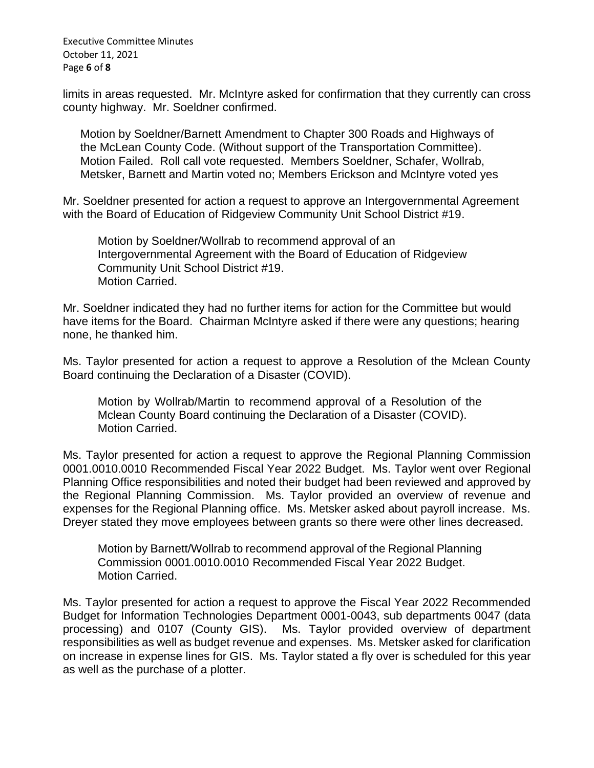Executive Committee Minutes October 11, 2021 Page **6** of **8**

limits in areas requested. Mr. McIntyre asked for confirmation that they currently can cross county highway. Mr. Soeldner confirmed.

Motion by Soeldner/Barnett Amendment to Chapter 300 Roads and Highways of the McLean County Code. (Without support of the Transportation Committee). Motion Failed. Roll call vote requested. Members Soeldner, Schafer, Wollrab, Metsker, Barnett and Martin voted no; Members Erickson and McIntyre voted yes

Mr. Soeldner presented for action a request to approve an Intergovernmental Agreement with the Board of Education of Ridgeview Community Unit School District #19.

Motion by Soeldner/Wollrab to recommend approval of an Intergovernmental Agreement with the Board of Education of Ridgeview Community Unit School District #19. Motion Carried.

Mr. Soeldner indicated they had no further items for action for the Committee but would have items for the Board. Chairman McIntyre asked if there were any questions; hearing none, he thanked him.

Ms. Taylor presented for action a request to approve a Resolution of the Mclean County Board continuing the Declaration of a Disaster (COVID).

Motion by Wollrab/Martin to recommend approval of a Resolution of the Mclean County Board continuing the Declaration of a Disaster (COVID). Motion Carried.

Ms. Taylor presented for action a request to approve the Regional Planning Commission 0001.0010.0010 Recommended Fiscal Year 2022 Budget. Ms. Taylor went over Regional Planning Office responsibilities and noted their budget had been reviewed and approved by the Regional Planning Commission. Ms. Taylor provided an overview of revenue and expenses for the Regional Planning office. Ms. Metsker asked about payroll increase. Ms. Dreyer stated they move employees between grants so there were other lines decreased.

Motion by Barnett/Wollrab to recommend approval of the Regional Planning Commission 0001.0010.0010 Recommended Fiscal Year 2022 Budget. Motion Carried.

Ms. Taylor presented for action a request to approve the Fiscal Year 2022 Recommended Budget for Information Technologies Department 0001-0043, sub departments 0047 (data processing) and 0107 (County GIS). Ms. Taylor provided overview of department responsibilities as well as budget revenue and expenses. Ms. Metsker asked for clarification on increase in expense lines for GIS. Ms. Taylor stated a fly over is scheduled for this year as well as the purchase of a plotter.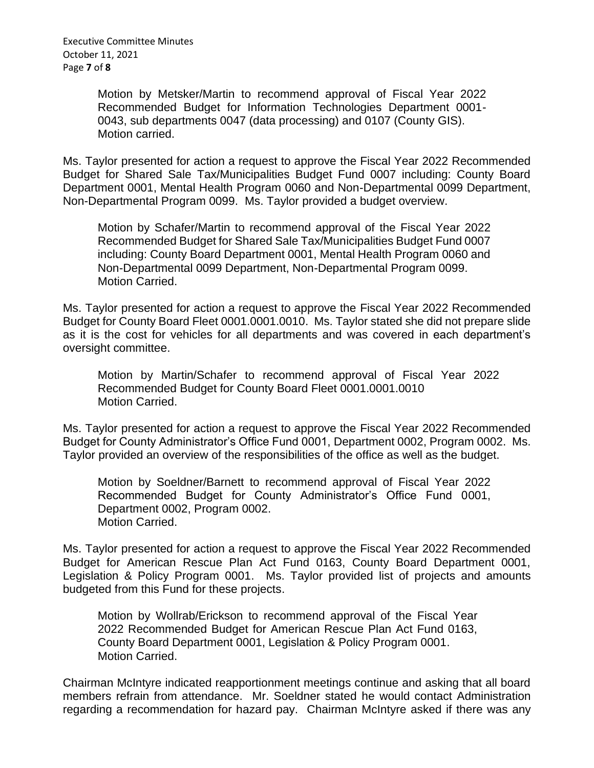Executive Committee Minutes October 11, 2021 Page **7** of **8**

> Motion by Metsker/Martin to recommend approval of Fiscal Year 2022 Recommended Budget for Information Technologies Department 0001- 0043, sub departments 0047 (data processing) and 0107 (County GIS). Motion carried.

Ms. Taylor presented for action a request to approve the Fiscal Year 2022 Recommended Budget for Shared Sale Tax/Municipalities Budget Fund 0007 including: County Board Department 0001, Mental Health Program 0060 and Non-Departmental 0099 Department, Non-Departmental Program 0099. Ms. Taylor provided a budget overview.

Motion by Schafer/Martin to recommend approval of the Fiscal Year 2022 Recommended Budget for Shared Sale Tax/Municipalities Budget Fund 0007 including: County Board Department 0001, Mental Health Program 0060 and Non-Departmental 0099 Department, Non-Departmental Program 0099. Motion Carried.

Ms. Taylor presented for action a request to approve the Fiscal Year 2022 Recommended Budget for County Board Fleet 0001.0001.0010. Ms. Taylor stated she did not prepare slide as it is the cost for vehicles for all departments and was covered in each department's oversight committee.

Motion by Martin/Schafer to recommend approval of Fiscal Year 2022 Recommended Budget for County Board Fleet 0001.0001.0010 Motion Carried.

Ms. Taylor presented for action a request to approve the Fiscal Year 2022 Recommended Budget for County Administrator's Office Fund 0001, Department 0002, Program 0002. Ms. Taylor provided an overview of the responsibilities of the office as well as the budget.

Motion by Soeldner/Barnett to recommend approval of Fiscal Year 2022 Recommended Budget for County Administrator's Office Fund 0001, Department 0002, Program 0002. Motion Carried.

Ms. Taylor presented for action a request to approve the Fiscal Year 2022 Recommended Budget for American Rescue Plan Act Fund 0163, County Board Department 0001, Legislation & Policy Program 0001. Ms. Taylor provided list of projects and amounts budgeted from this Fund for these projects.

Motion by Wollrab/Erickson to recommend approval of the Fiscal Year 2022 Recommended Budget for American Rescue Plan Act Fund 0163, County Board Department 0001, Legislation & Policy Program 0001. Motion Carried.

Chairman McIntyre indicated reapportionment meetings continue and asking that all board members refrain from attendance. Mr. Soeldner stated he would contact Administration regarding a recommendation for hazard pay. Chairman McIntyre asked if there was any